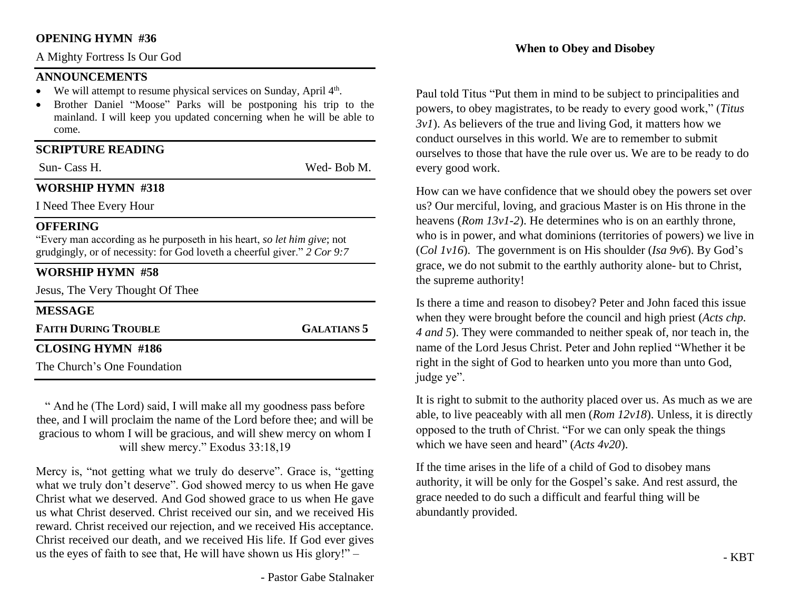#### **OPENING HYMN #36**

A Mighty Fortress Is Our God

#### **ANNOUNCEMENTS**

- We will attempt to resume physical services on Sunday, April  $4<sup>th</sup>$ .
- Brother Daniel "Moose" Parks will be postponing his trip to the mainland. I will keep you updated concerning when he will be able to come.

## **SCRIPTURE READING**

Sun- Cass H. Wed- Bob M.

## **WORSHIP HYMN #318**

I Need Thee Every Hour

## **OFFERING**

"Every man according as he purposeth in his heart, *so let him give*; not grudgingly, or of necessity: for God loveth a cheerful giver." *2 Cor 9:7*

# **WORSHIP HYMN #58**

Jesus, The Very Thought Of Thee

## **MESSAGE**

**FAITH DURING TROUBLE GALATIANS 5**

# **CLOSING HYMN #186**

The Church's One Foundation

" And he (The Lord) said, I will make all my goodness pass before thee, and I will proclaim the name of the Lord before thee; and will be gracious to whom I will be gracious, and will shew mercy on whom I will shew mercy." Exodus 33:18,19

Mercy is, "not getting what we truly do deserve". Grace is, "getting what we truly don't deserve". God showed mercy to us when He gave Christ what we deserved. And God showed grace to us when He gave us what Christ deserved. Christ received our sin, and we received His reward. Christ received our rejection, and we received His acceptance. Christ received our death, and we received His life. If God ever gives us the eyes of faith to see that, He will have shown us His glory!" –

## **When to Obey and Disobey**

Paul told Titus "Put them in mind to be subject to principalities and powers, to obey magistrates, to be ready to every good work," (*Titus 3v1*). As believers of the true and living God, it matters how we conduct ourselves in this world. We are to remember to submit ourselves to those that have the rule over us. We are to be ready to do every good work.

How can we have confidence that we should obey the powers set over us? Our merciful, loving, and gracious Master is on His throne in the heavens (*Rom 13v1-2*). He determines who is on an earthly throne, who is in power, and what dominions (territories of powers) we live in (*Col 1v16*). The government is on His shoulder (*Isa 9v6*). By God's grace, we do not submit to the earthly authority alone- but to Christ, the supreme authority!

Is there a time and reason to disobey? Peter and John faced this issue when they were brought before the council and high priest (*Acts chp. 4 and 5*). They were commanded to neither speak of, nor teach in, the name of the Lord Jesus Christ. Peter and John replied "Whether it be right in the sight of God to hearken unto you more than unto God, judge ye".

It is right to submit to the authority placed over us. As much as we are able, to live peaceably with all men (*Rom 12v18*). Unless, it is directly opposed to the truth of Christ. "For we can only speak the things which we have seen and heard" (*Acts 4v20*).

If the time arises in the life of a child of God to disobey mans authority, it will be only for the Gospel's sake. And rest assurd, the grace needed to do such a difficult and fearful thing will be abundantly provided.